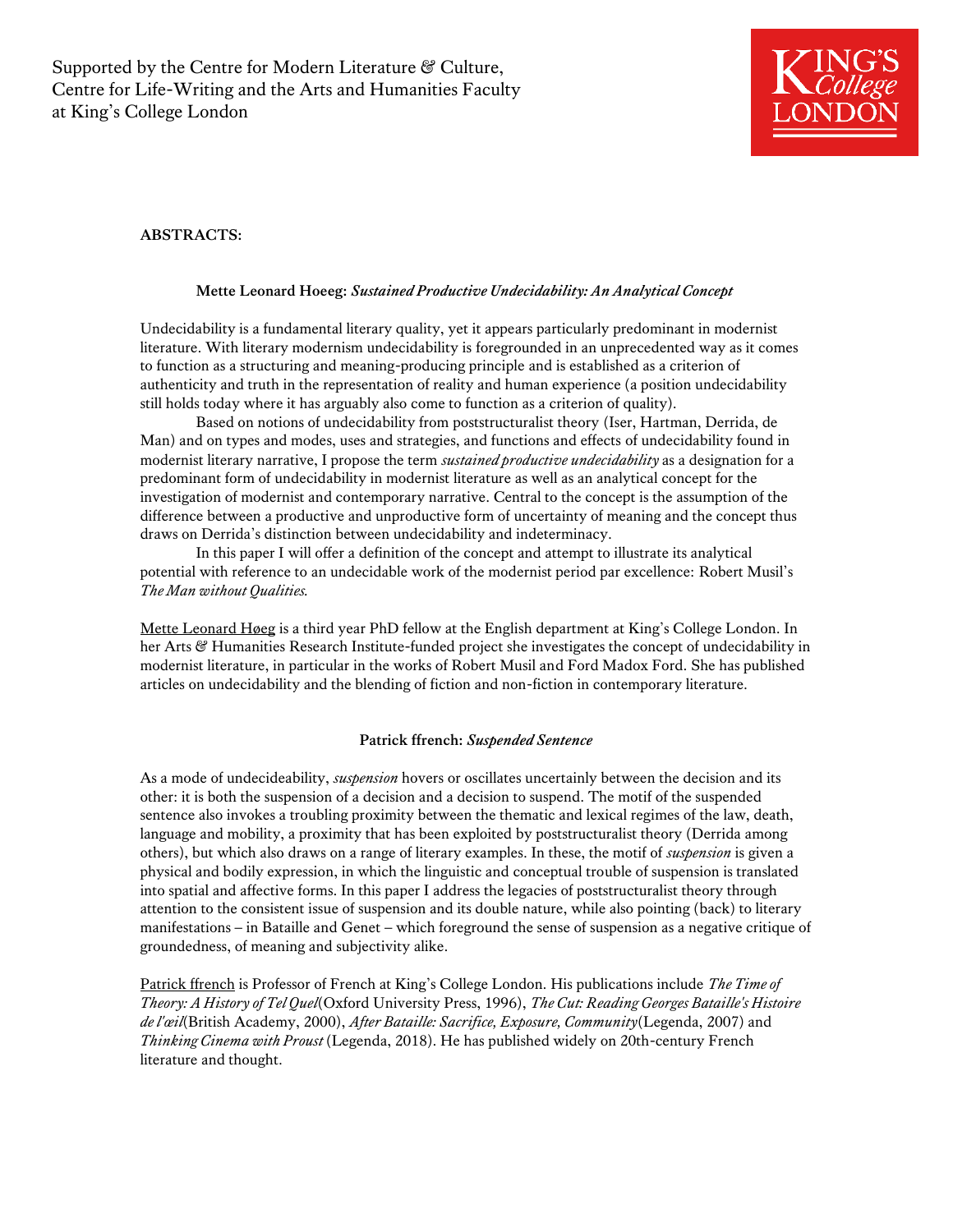

# **ABSTRACTS:**

## **Mette Leonard Hoeeg:** *Sustained Productive Undecidability: An Analytical Concept*

Undecidability is a fundamental literary quality, yet it appears particularly predominant in modernist literature. With literary modernism undecidability is foregrounded in an unprecedented way as it comes to function as a structuring and meaning-producing principle and is established as a criterion of authenticity and truth in the representation of reality and human experience (a position undecidability still holds today where it has arguably also come to function as a criterion of quality).

Based on notions of undecidability from poststructuralist theory (Iser, Hartman, Derrida, de Man) and on types and modes, uses and strategies, and functions and effects of undecidability found in modernist literary narrative, I propose the term *sustained productive undecidability* as a designation for a predominant form of undecidability in modernist literature as well as an analytical concept for the investigation of modernist and contemporary narrative. Central to the concept is the assumption of the difference between a productive and unproductive form of uncertainty of meaning and the concept thus draws on Derrida's distinction between undecidability and indeterminacy.

In this paper I will offer a definition of the concept and attempt to illustrate its analytical potential with reference to an undecidable work of the modernist period par excellence: Robert Musil's *The Man without Qualities.* 

Mette Leonard Høeg is a third year PhD fellow at the English department at King's College London. In her Arts & Humanities Research Institute-funded project she investigates the concept of undecidability in modernist literature, in particular in the works of Robert Musil and Ford Madox Ford. She has published articles on undecidability and the blending of fiction and non-fiction in contemporary literature.

### **Patrick ffrench:** *Suspended Sentence*

As a mode of undecideability, *suspension* hovers or oscillates uncertainly between the decision and its other: it is both the suspension of a decision and a decision to suspend. The motif of the suspended sentence also invokes a troubling proximity between the thematic and lexical regimes of the law, death, language and mobility, a proximity that has been exploited by poststructuralist theory (Derrida among others), but which also draws on a range of literary examples. In these, the motif of *suspension* is given a physical and bodily expression, in which the linguistic and conceptual trouble of suspension is translated into spatial and affective forms. In this paper I address the legacies of poststructuralist theory through attention to the consistent issue of suspension and its double nature, while also pointing (back) to literary manifestations – in Bataille and Genet – which foreground the sense of suspension as a negative critique of groundedness, of meaning and subjectivity alike.

Patrick ffrench is Professor of French at King's College London. His publications include *The Time of Theory: A History of Tel Quel*(Oxford University Press, 1996), *The Cut: Reading Georges Bataille's Histoire de l'œil*(British Academy, 2000), *After Bataille: Sacrifice, Exposure, Community*(Legenda, 2007) and *Thinking Cinema with Proust* (Legenda, 2018). He has published widely on 20th-century French literature and thought.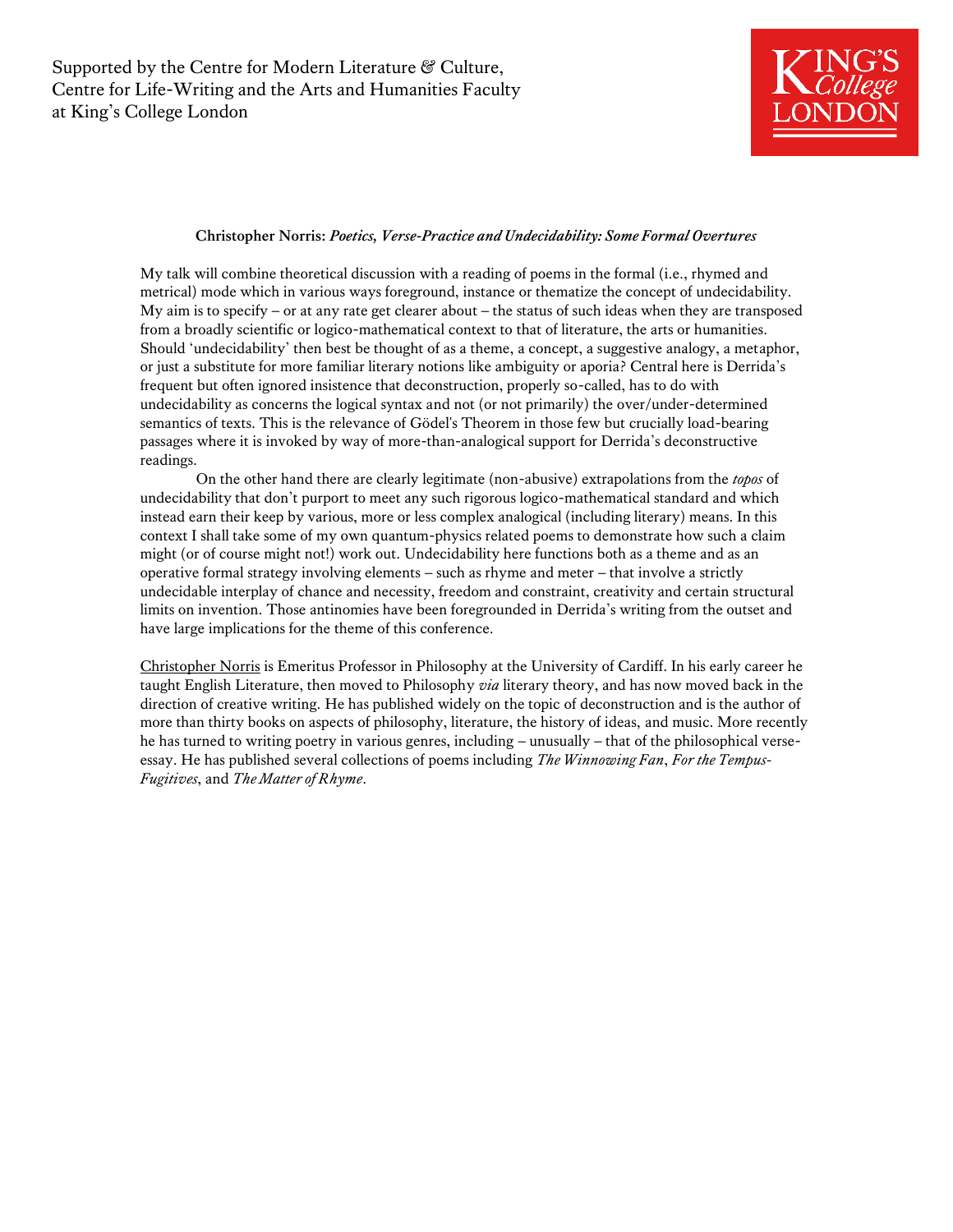

### **Christopher Norris:** *Poetics, Verse-Practice and Undecidability: Some Formal Overtures*

My talk will combine theoretical discussion with a reading of poems in the formal (i.e., rhymed and metrical) mode which in various ways foreground, instance or thematize the concept of undecidability. My aim is to specify – or at any rate get clearer about – the status of such ideas when they are transposed from a broadly scientific or logico-mathematical context to that of literature, the arts or humanities. Should 'undecidability' then best be thought of as a theme, a concept, a suggestive analogy, a metaphor, or just a substitute for more familiar literary notions like ambiguity or aporia? Central here is Derrida's frequent but often ignored insistence that deconstruction, properly so-called, has to do with undecidability as concerns the logical syntax and not (or not primarily) the over/under-determined semantics of texts. This is the relevance of Gödel's Theorem in those few but crucially load-bearing passages where it is invoked by way of more-than-analogical support for Derrida's deconstructive readings.

On the other hand there are clearly legitimate (non-abusive) extrapolations from the *topos* of undecidability that don't purport to meet any such rigorous logico-mathematical standard and which instead earn their keep by various, more or less complex analogical (including literary) means. In this context I shall take some of my own quantum-physics related poems to demonstrate how such a claim might (or of course might not!) work out. Undecidability here functions both as a theme and as an operative formal strategy involving elements – such as rhyme and meter – that involve a strictly undecidable interplay of chance and necessity, freedom and constraint, creativity and certain structural limits on invention. Those antinomies have been foregrounded in Derrida's writing from the outset and have large implications for the theme of this conference.

Christopher Norris is Emeritus Professor in Philosophy at the University of Cardiff. In his early career he taught English Literature, then moved to Philosophy *via* literary theory, and has now moved back in the direction of creative writing. He has published widely on the topic of deconstruction and is the author of more than thirty books on aspects of philosophy, literature, the history of ideas, and music. More recently he has turned to writing poetry in various genres, including – unusually – that of the philosophical verseessay. He has published several collections of poems including *The Winnowing Fan*, *For the Tempus-Fugitives*, and *The Matter of Rhyme*.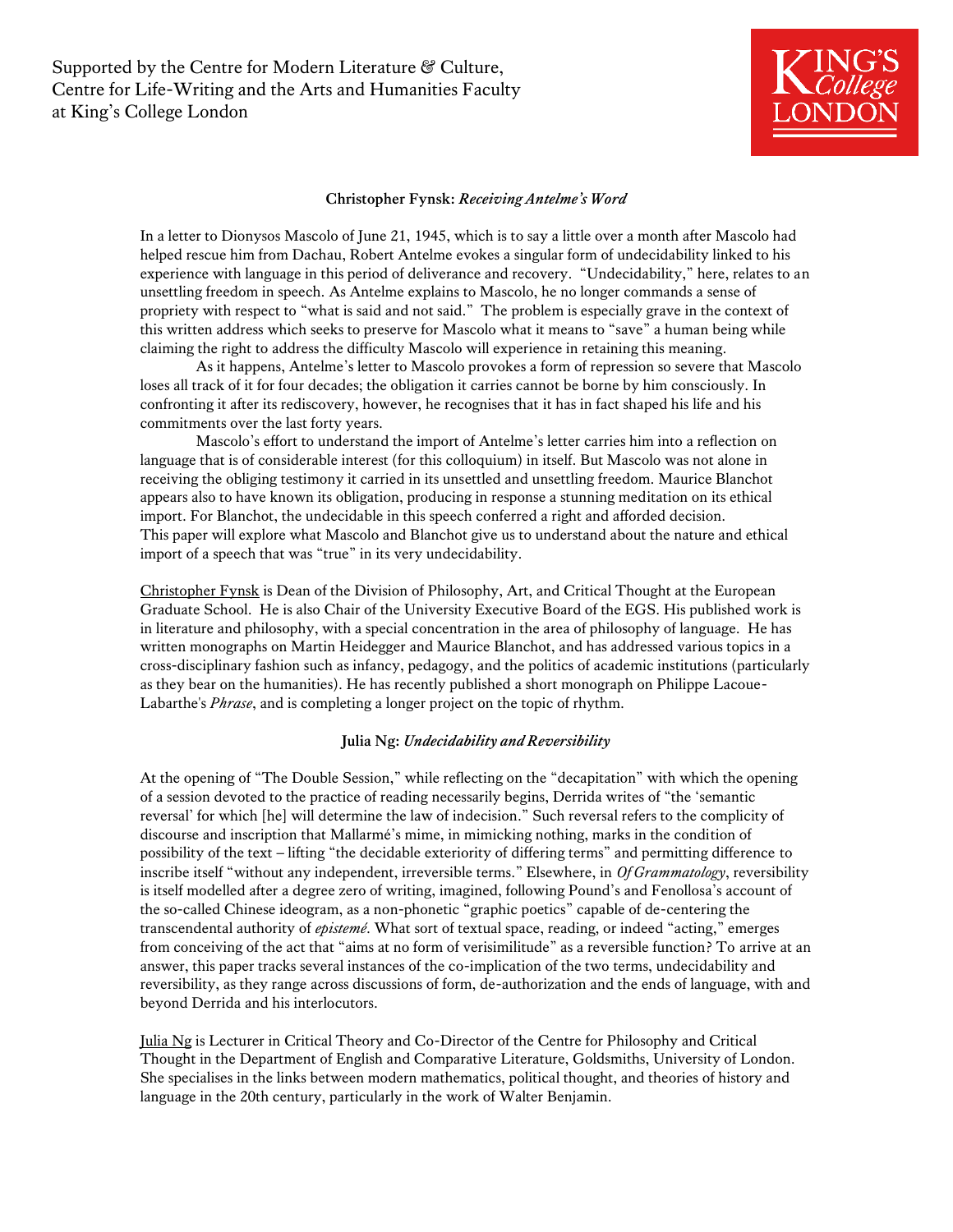Supported by the Centre for Modern Literature & Culture, Centre for Life-Writing and the Arts and Humanities Faculty at King's College London



#### **Christopher Fynsk:** *Receiving Antelme's Word*

In a letter to Dionysos Mascolo of June 21, 1945, which is to say a little over a month after Mascolo had helped rescue him from Dachau, Robert Antelme evokes a singular form of undecidability linked to his experience with language in this period of deliverance and recovery. "Undecidability," here, relates to an unsettling freedom in speech. As Antelme explains to Mascolo, he no longer commands a sense of propriety with respect to "what is said and not said." The problem is especially grave in the context of this written address which seeks to preserve for Mascolo what it means to "save" a human being while claiming the right to address the difficulty Mascolo will experience in retaining this meaning.

As it happens, Antelme's letter to Mascolo provokes a form of repression so severe that Mascolo loses all track of it for four decades; the obligation it carries cannot be borne by him consciously. In confronting it after its rediscovery, however, he recognises that it has in fact shaped his life and his commitments over the last forty years.

Mascolo's effort to understand the import of Antelme's letter carries him into a reflection on language that is of considerable interest (for this colloquium) in itself. But Mascolo was not alone in receiving the obliging testimony it carried in its unsettled and unsettling freedom. Maurice Blanchot appears also to have known its obligation, producing in response a stunning meditation on its ethical import. For Blanchot, the undecidable in this speech conferred a right and afforded decision. This paper will explore what Mascolo and Blanchot give us to understand about the nature and ethical import of a speech that was "true" in its very undecidability.

Christopher Fynsk is Dean of the Division of Philosophy, Art, and Critical Thought at the European Graduate School. He is also Chair of the University Executive Board of the EGS. His published work is in literature and philosophy, with a special concentration in the area of philosophy of language. He has written monographs on Martin Heidegger and Maurice Blanchot, and has addressed various topics in a cross-disciplinary fashion such as infancy, pedagogy, and the politics of academic institutions (particularly as they bear on the humanities). He has recently published a short monograph on Philippe Lacoue-Labarthe's *Phrase*, and is completing a longer project on the topic of rhythm.

### **Julia Ng:** *Undecidability and Reversibility*

At the opening of "The Double Session," while reflecting on the "decapitation" with which the opening of a session devoted to the practice of reading necessarily begins, Derrida writes of "the 'semantic reversal' for which [he] will determine the law of indecision." Such reversal refers to the complicity of discourse and inscription that Mallarmé's mime, in mimicking nothing, marks in the condition of possibility of the text – lifting "the decidable exteriority of differing terms" and permitting difference to inscribe itself "without any independent, irreversible terms." Elsewhere, in *Of Grammatology*, reversibility is itself modelled after a degree zero of writing, imagined, following Pound's and Fenollosa's account of the so-called Chinese ideogram, as a non-phonetic "graphic poetics" capable of de-centering the transcendental authority of *epistemé*. What sort of textual space, reading, or indeed "acting," emerges from conceiving of the act that "aims at no form of verisimilitude" as a reversible function? To arrive at an answer, this paper tracks several instances of the co-implication of the two terms, undecidability and reversibility, as they range across discussions of form, de-authorization and the ends of language, with and beyond Derrida and his interlocutors.

Julia Ng is Lecturer in Critical Theory and Co-Director of the Centre for Philosophy and Critical Thought in the Department of English and Comparative Literature, Goldsmiths, University of London. She specialises in the links between modern mathematics, political thought, and theories of history and language in the 20th century, particularly in the work of Walter Benjamin.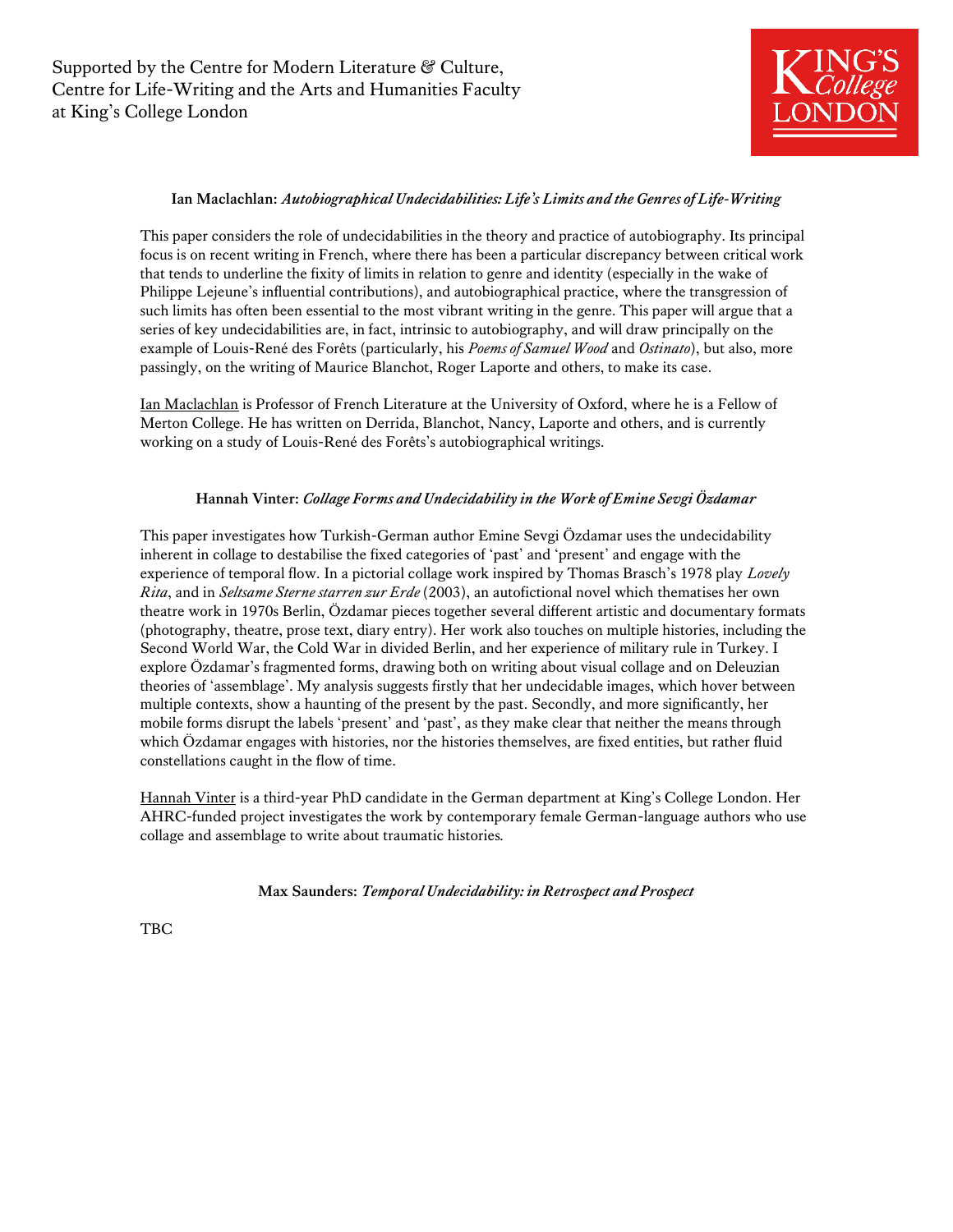

## **Ian Maclachlan:** *Autobiographical Undecidabilities: Life's Limits and the Genres of Life-Writing*

This paper considers the role of undecidabilities in the theory and practice of autobiography. Its principal focus is on recent writing in French, where there has been a particular discrepancy between critical work that tends to underline the fixity of limits in relation to genre and identity (especially in the wake of Philippe Lejeune's influential contributions), and autobiographical practice, where the transgression of such limits has often been essential to the most vibrant writing in the genre. This paper will argue that a series of key undecidabilities are, in fact, intrinsic to autobiography, and will draw principally on the example of Louis-René des Forêts (particularly, his *Poems of Samuel Wood* and *Ostinato*), but also, more passingly, on the writing of Maurice Blanchot, Roger Laporte and others, to make its case.

Ian Maclachlan is Professor of French Literature at the University of Oxford, where he is a Fellow of Merton College. He has written on Derrida, Blanchot, Nancy, Laporte and others, and is currently working on a study of Louis-René des Forêts's autobiographical writings.

### **Hannah Vinter:** *Collage Forms and Undecidability in the Work of Emine Sevgi Özdamar*

This paper investigates how Turkish-German author Emine Sevgi Özdamar uses the undecidability inherent in collage to destabilise the fixed categories of 'past' and 'present' and engage with the experience of temporal flow. In a pictorial collage work inspired by Thomas Brasch's 1978 play *Lovely Rita*, and in *Seltsame Sterne starren zur Erde* (2003), an autofictional novel which thematises her own theatre work in 1970s Berlin, Özdamar pieces together several different artistic and documentary formats (photography, theatre, prose text, diary entry). Her work also touches on multiple histories, including the Second World War, the Cold War in divided Berlin, and her experience of military rule in Turkey. I explore Özdamar's fragmented forms, drawing both on writing about visual collage and on Deleuzian theories of 'assemblage'. My analysis suggests firstly that her undecidable images, which hover between multiple contexts, show a haunting of the present by the past. Secondly, and more significantly, her mobile forms disrupt the labels 'present' and 'past', as they make clear that neither the means through which Özdamar engages with histories, nor the histories themselves, are fixed entities, but rather fluid constellations caught in the flow of time.

Hannah Vinter is a third-year PhD candidate in the German department at King's College London. Her AHRC-funded project investigates the work by contemporary female German-language authors who use collage and assemblage to write about traumatic histories*.* 

**Max Saunders:** *Temporal Undecidability: in Retrospect and Prospect*

TBC